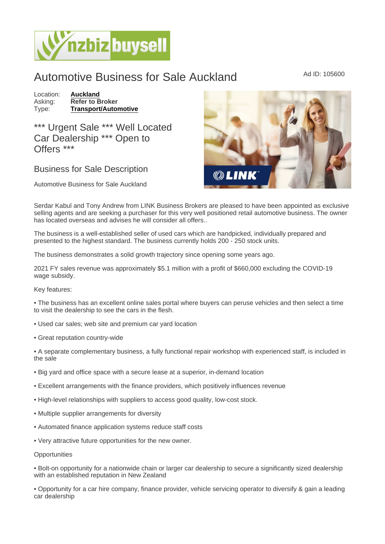## Automotive Business for Sale Auckland Ad ID: 105600

Location: [Auckland](https://www.nzbizbuysell.co.nz/businesses-for-sale/location/Auckland) Asking: Refer to Broker<br>Type: Transport/Autor [Transport/Automotive](https://www.nzbizbuysell.co.nz/businesses-for-sale/Transport--Automotive/New-Zealand)

\*\*\* Urgent Sale \*\*\* Well Located Car Dealership \*\*\* Open to Offers \*\*\*

## Business for Sale Description

Automotive Business for Sale Auckland

Serdar Kabul and Tony Andrew from LINK Business Brokers are pleased to have been appointed as exclusive selling agents and are seeking a purchaser for this very well positioned retail automotive business. The owner has located overseas and advises he will consider all offers..

The business is a well-established seller of used cars which are handpicked, individually prepared and presented to the highest standard. The business currently holds 200 - 250 stock units.

The business demonstrates a solid growth trajectory since opening some years ago.

2021 FY sales revenue was approximately \$5.1 million with a profit of \$660,000 excluding the COVID-19 wage subsidy.

Key features:

• The business has an excellent online sales portal where buyers can peruse vehicles and then select a time to visit the dealership to see the cars in the flesh.

- Used car sales; web site and premium car yard location
- Great reputation country-wide
- A separate complementary business, a fully functional repair workshop with experienced staff, is included in the sale
- Big yard and office space with a secure lease at a superior, in-demand location
- Excellent arrangements with the finance providers, which positively influences revenue
- High-level relationships with suppliers to access good quality, low-cost stock.
- Multiple supplier arrangements for diversity
- Automated finance application systems reduce staff costs
- Very attractive future opportunities for the new owner.

## **Opportunities**

• Bolt-on opportunity for a nationwide chain or larger car dealership to secure a significantly sized dealership with an established reputation in New Zealand

• Opportunity for a car hire company, finance provider, vehicle servicing operator to diversify & gain a leading car dealership